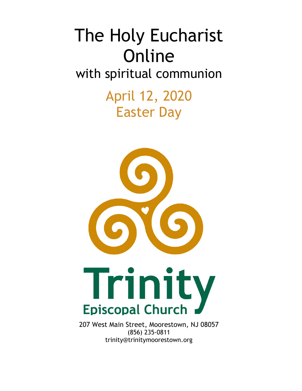# The Holy Eucharist Online with spiritual communion

April 12, 2020 Easter Day





207 West Main Street, Moorestown, NJ 08057 (856) 235-0811 trinity@trinitymoorestown.org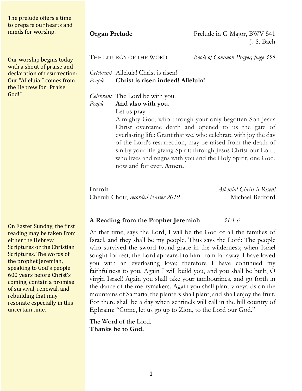The prelude offers a time to prepare our hearts and minds for worship.

Our worship begins today with a shout of praise and declaration of resurrection: Our "Alleluia!" comes from the Hebrew for "Praise God!"

On Easter Sunday, the first reading may be taken from either the Hebrew Scriptures or the Christian Scriptures. The words of the prophet Jeremiah, speaking to God's people 600 years before Christ's coming, contain a promise of survival, renewal, and rebuilding that may resonate especially in this uncertain time.

**Organ Prelude** Prelude in G Major, BWV 541 J. S. Bach

THE LITURGY OF THE WORD *Book of Common Prayer, page 355*

*Celebrant* Alleluia! Christ is risen! *People* **Christ is risen indeed! Alleluia!**

# *Celebrant* The Lord be with you.

*People* **And also with you.**

Let us pray.

Almighty God, who through your only-begotten Son Jesus Christ overcame death and opened to us the gate of everlasting life: Grant that we, who celebrate with joy the day of the Lord's resurrection, may be raised from the death of sin by your life-giving Spirit; through Jesus Christ our Lord, who lives and reigns with you and the Holy Spirit, one God, now and for ever. **Amen.**

Cherub Choir, *recorded Easter 2019* Michael Bedford

**Introit** *Alleluia! Christ is Risen!*

### **A Reading from the Prophet Jeremiah** *31:1-6*

At that time, says the Lord, I will be the God of all the families of Israel, and they shall be my people. Thus says the Lord: The people who survived the sword found grace in the wilderness; when Israel sought for rest, the Lord appeared to him from far away. I have loved you with an everlasting love; therefore I have continued my faithfulness to you. Again I will build you, and you shall be built, O virgin Israel! Again you shall take your tambourines, and go forth in the dance of the merrymakers. Again you shall plant vineyards on the mountains of Samaria; the planters shall plant, and shall enjoy the fruit. For there shall be a day when sentinels will call in the hill country of Ephraim: "Come, let us go up to Zion, to the Lord our God."

The Word of the Lord. **Thanks be to God.**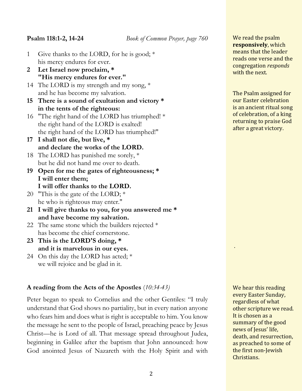**Psalm 118:1-2, 14-24** *Book of Common Prayer, page 760*

- 1 Give thanks to the LORD, for he is good; \* his mercy endures for ever.
- **2 Let Israel now proclaim, \* "His mercy endures for ever."**
- 14 The LORD is my strength and my song,  $*$ and he has become my salvation.
- **15 There is a sound of exultation and victory \* in the tents of the righteous:**
- 16 "The right hand of the LORD has triumphed! \* the right hand of the LORD is exalted! the right hand of the LORD has triumphed!"
- **17 I shall not die, but live, \* and declare the works of the LORD.**
- 18 The LORD has punished me sorely, \* but he did not hand me over to death.
- **19 Open for me the gates of righteousness; \* I will enter them; I will offer thanks to the LORD.**
- 20 "This is the gate of the LORD;  $*$ he who is righteous may enter."
- **21 I will give thanks to you, for you answered me \* and have become my salvation.**
- 22 The same stone which the builders rejected  $*$ has become the chief cornerstone.
- **23 This is the LORD'S doing, \* and it is marvelous in our eyes.**
- 24 On this day the LORD has acted; \* we will rejoice and be glad in it.

# **A reading from the Acts of the Apostles** (*10:34-43)*

Peter began to speak to Cornelius and the other Gentiles: "I truly understand that God shows no partiality, but in every nation anyone who fears him and does what is right is acceptable to him. You know the message he sent to the people of Israel, preaching peace by Jesus Christ—he is Lord of all. That message spread throughout Judea, beginning in Galilee after the baptism that John announced: how God anointed Jesus of Nazareth with the Holy Spirit and with We read the psalm **responsively**, which means that the leader reads one verse and the congregation *responds* with the next.

The Psalm assigned for our Easter celebration is an ancient ritual song of celebration, of a king returning to praise God after a great victory.

We hear this reading every Easter Sunday, regardless of what other scripture we read. It is chosen as a summary of the good news of Jesus' life, death, and resurrection, as preached to some of the first non-Jewish Christians. 

.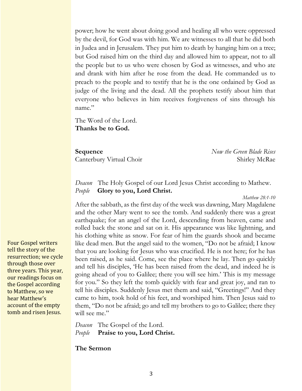power; how he went about doing good and healing all who were oppressed by the devil, for God was with him. We are witnesses to all that he did both in Judea and in Jerusalem. They put him to death by hanging him on a tree; but God raised him on the third day and allowed him to appear, not to all the people but to us who were chosen by God as witnesses, and who ate and drank with him after he rose from the dead. He commanded us to preach to the people and to testify that he is the one ordained by God as judge of the living and the dead. All the prophets testify about him that everyone who believes in him receives forgiveness of sins through his name."

The Word of the Lord. **Thanks be to God.**

**Sequence** *Now the Green Blade Rises* Canterbury Virtual Choir Shirley McRae

*Deacon* The Holy Gospel of our Lord Jesus Christ according to Mathew. *People* **Glory to you, Lord Christ.**

*Matthew 28:1-10*

After the sabbath, as the first day of the week was dawning, Mary Magdalene and the other Mary went to see the tomb. And suddenly there was a great earthquake; for an angel of the Lord, descending from heaven, came and rolled back the stone and sat on it. His appearance was like lightning, and his clothing white as snow. For fear of him the guards shook and became like dead men. But the angel said to the women, "Do not be afraid; I know that you are looking for Jesus who was crucified. He is not here; for he has been raised, as he said. Come, see the place where he lay. Then go quickly and tell his disciples, 'He has been raised from the dead, and indeed he is going ahead of you to Galilee; there you will see him.' This is my message for you." So they left the tomb quickly with fear and great joy, and ran to tell his disciples. Suddenly Jesus met them and said, "Greetings!" And they came to him, took hold of his feet, and worshiped him. Then Jesus said to them, "Do not be afraid; go and tell my brothers to go to Galilee; there they will see me."

*Deacon* The Gospel of the Lord. *People* **Praise to you, Lord Christ.**

**The Sermon**

Four Gospel writers tell the story of the resurrection; we cycle through those over three years. This year, our readings focus on the Gospel according to Matthew, so we hear Matthew's account of the empty tomb and risen Jesus.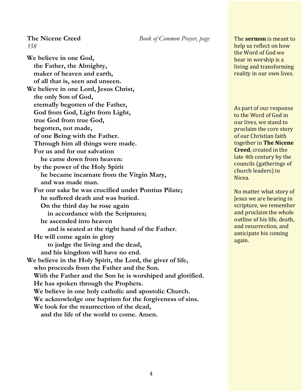*358*

**The Nicene Creed** *Book of Common Prayer, page* 

**We believe in one God, the Father, the Almighty, maker of heaven and earth, of all that is, seen and unseen. We believe in one Lord, Jesus Christ, the only Son of God, eternally begotten of the Father, God from God, Light from Light, true God from true God, begotten, not made, of one Being with the Father. Through him all things were made. For us and for our salvation he came down from heaven: by the power of the Holy Spirit he became incarnate from the Virgin Mary, and was made man. For our sake he was crucified under Pontius Pilate; he suffered death and was buried. On the third day he rose again in accordance with the Scriptures; he ascended into heaven and is seated at the right hand of the Father. He will come again in glory to judge the living and the dead, and his kingdom will have no end. We believe in the Holy Spirit, the Lord, the giver of life, who proceeds from the Father and the Son. With the Father and the Son he is worshiped and glorified. He has spoken through the Prophets. We believe in one holy catholic and apostolic Church. We acknowledge one baptism for the forgiveness of sins. We look for the resurrection of the dead, and the life of the world to come. Amen.**

The **sermon** is meant to help us reflect on how the Word of God we hear in worship is a living and transforming reality in our own lives.

As part of our response to the Word of God in our lives, we stand to proclaim the core story of our Christian faith together in The Nicene **Creed**, created in the late 4th century by the councils (gatherings of church leaders) in Nicea. 

No matter what story of Jesus we are hearing in scripture, we remember and proclaim the whole outline of his life, death, and resurrection, and anticipate his coming again.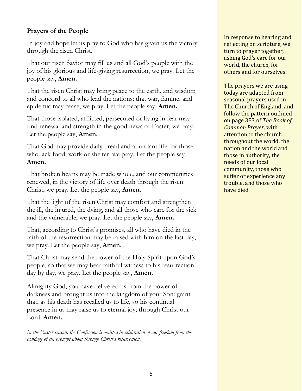# **Prayers of the People**

In joy and hope let us pray to God who has given us the victory through the risen Christ.

That our risen Savior may fill us and all God's people with the joy of his glorious and life-giving resurrection, we pray. Let the people say, **Amen.**

That the risen Christ may bring peace to the earth, and wisdom and concord to all who lead the nations; that war, famine, and epidemic may cease, we pray. Let the people say, **Amen.**

That those isolated, afflicted, persecuted or living in fear may find renewal and strength in the good news of Easter, we pray. Let the people say, **Amen.**

That God may provide daily bread and abundant life for those who lack food, work or shelter, we pray. Let the people say, **Amen.**

That broken hearts may be made whole, and our communities renewed, in the victory of life over death through the risen Christ, we pray. Let the people say, **Amen.**

That the light of the risen Christ may comfort and strengthen the ill, the injured, the dying, and all those who care for the sick and the vulnerable, we pray. Let the people say, **Amen.**

That, according to Christ's promises, all who have died in the faith of the resurrection may be raised with him on the last day, we pray. Let the people say, **Amen.**

That Christ may send the power of the Holy Spirit upon God's people, so that we may bear faithful witness to his resurrection day by day, we pray. Let the people say, **Amen.**

Almighty God, you have delivered us from the power of darkness and brought us into the kingdom of your Son: grant that, as his death has recalled us to life, so his continual presence in us may raise us to eternal joy; through Christ our Lord. **Amen.**

*In the Easter season, the Confession is omitted in celebration of our freedom from the bondage of sin brought about through Christ's resurrection.*

In response to hearing and reflecting on scripture, we turn to prayer together, asking God's care for our world, the church, for others and for ourselves.

The prayers we are using today are adapted from seasonal prayers used in The Church of England, and follow the pattern outlined on page 383 of *The Book of Common Prayer,* with attention to the church throughout the world, the nation and the world and those in authority, the needs of our local community, those who suffer or experience any trouble, and those who have died.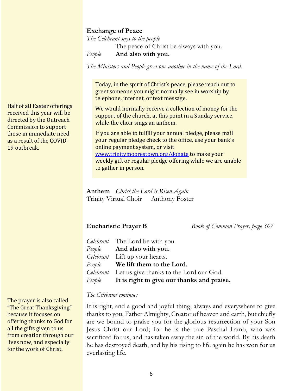### **Exchange of Peace**

*The Celebrant says to the people* The peace of Christ be always with you. *People* **And also with you.**

*The Ministers and People greet one another in the name of the Lord.*

Today, in the spirit of Christ's peace, please reach out to greet someone you might normally see in worship by telephone, internet, or text message.

We would normally receive a collection of money for the support of the church, at this point in a Sunday service, while the choir sings an anthem.

If you are able to fulfill your annual pledge, please mail your regular pledge check to the office, use your bank's online payment system, or visit www.trinitymoorestown.org/donate to make your weekly gift or regular pledge offering while we are unable to gather in person.

**Anthem** *Christ the Lord is Risen Again* Trinity Virtual Choir Anthony Foster

**Eucharistic Prayer B** *Book of Common Prayer, page 367*

| <i>Celebrant</i> The Lord be with you.                   |
|----------------------------------------------------------|
| <i>People</i> <b>And also with you.</b>                  |
| Celebrant Lift up your hearts.                           |
| People We lift them to the Lord.                         |
| <i>Celebrant</i> Let us give thanks to the Lord our God. |
| People It is right to give our thanks and praise.        |

### *The Celebrant continues*

It is right, and a good and joyful thing, always and everywhere to give thanks to you, Father Almighty, Creator of heaven and earth, but chiefly are we bound to praise you for the glorious resurrection of your Son Jesus Christ our Lord; for he is the true Paschal Lamb, who was sacrificed for us, and has taken away the sin of the world. By his death he has destroyed death, and by his rising to life again he has won for us everlasting life.

Half of all Easter offerings received this year will be directed by the Outreach Commission to support those in immediate need as a result of the COVID-19 outbreak.

The prayer is also called "The Great Thanksgiving" because it focuses on offering thanks to God for all the gifts given to us from creation through our lives now, and especially for the work of Christ.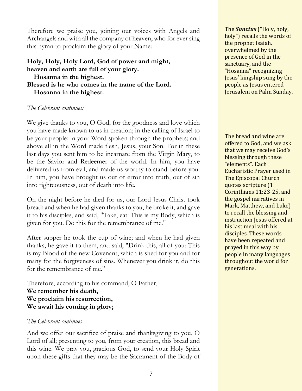Therefore we praise you, joining our voices with Angels and Archangels and with all the company of heaven, who for ever sing this hymn to proclaim the glory of your Name:

# **Holy, Holy, Holy Lord, God of power and might, heaven and earth are full of your glory. Hosanna in the highest. Blessed is he who comes in the name of the Lord. Hosanna in the highest.**

# *The Celebrant continues:*

We give thanks to you, O God, for the goodness and love which you have made known to us in creation; in the calling of Israel to be your people; in your Word spoken through the prophets; and above all in the Word made flesh, Jesus, your Son. For in these last days you sent him to be incarnate from the Virgin Mary, to be the Savior and Redeemer of the world. In him, you have delivered us from evil, and made us worthy to stand before you. In him, you have brought us out of error into truth, out of sin into righteousness, out of death into life.

On the night before he died for us, our Lord Jesus Christ took bread; and when he had given thanks to you, he broke it, and gave it to his disciples, and said, "Take, eat: This is my Body, which is given for you. Do this for the remembrance of me."

After supper he took the cup of wine; and when he had given thanks, he gave it to them, and said, "Drink this, all of you: This is my Blood of the new Covenant, which is shed for you and for many for the forgiveness of sins. Whenever you drink it, do this for the remembrance of me."

Therefore, according to his command, O Father, **We remember his death, We proclaim his resurrection, We await his coming in glory;**

### *The Celebrant continues*

And we offer our sacrifice of praise and thanksgiving to you, O Lord of all; presenting to you, from your creation, this bread and this wine. We pray you, gracious God, to send your Holy Spirit upon these gifts that they may be the Sacrament of the Body of The *Sanctus* ("Holy, holy, holy") recalls the words of the prophet Isaiah, overwhelmed by the presence of God in the sanctuary, and the "Hosanna" recognizing Jesus' kingship sung by the people as Jesus entered Jerusalem on Palm Sunday.

The bread and wine are offered to God, and we ask that we may receive God's blessing through these "elements". Each **Eucharistic Prayer used in** The Episcopal Church quotes scripture (1 Corinthians 11:23-25, and the gospel narratives in Mark, Matthew, and Luke) to recall the blessing and instruction Jesus offered at his last meal with his disciples. These words have been repeated and prayed in this way by people in many languages throughout the world for generations.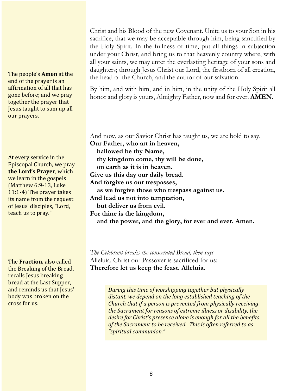The people's **Amen** at the end of the prayer is an affirmation of all that has gone before; and we pray together the prayer that **Jesus taught to sum up all** our prayers.

At every service in the Episcopal Church, we pray **the Lord's Prayer**, which we learn in the gospels (Matthew 6:9-13, Luke  $11:1-4$ ) The prayer takes its name from the request of Jesus' disciples, "Lord, teach us to pray."

The **Fraction**, also called the Breaking of the Bread, recalls Jesus breaking bread at the Last Supper, and reminds us that Jesus' body was broken on the cross for us.

Christ and his Blood of the new Covenant. Unite us to your Son in his sacrifice, that we may be acceptable through him, being sanctified by the Holy Spirit. In the fullness of time, put all things in subjection under your Christ, and bring us to that heavenly country where, with all your saints, we may enter the everlasting heritage of your sons and daughters; through Jesus Christ our Lord, the firstborn of all creation, the head of the Church, and the author of our salvation.

By him, and with him, and in him, in the unity of the Holy Spirit all honor and glory is yours, Almighty Father, now and for ever. **AMEN.**

And now, as our Savior Christ has taught us, we are bold to say, **Our Father, who art in heaven, hallowed be thy Name, thy kingdom come, thy will be done, on earth as it is in heaven. Give us this day our daily bread. And forgive us our trespasses, as we forgive those who trespass against us. And lead us not into temptation, but deliver us from evil. For thine is the kingdom, and the power, and the glory, for ever and ever. Amen.**

*The Celebrant breaks the consecrated Bread, then says* Alleluia. Christ our Passover is sacrificed for us; **Therefore let us keep the feast. Alleluia.**

> **During this time of worshipping together but physically** distant, we depend on the long established teaching of the *Church that if a person is prevented from physically receiving* the Sacrament for reasons of extreme *illness or disability, the desire for Christ's presence alone is enough for all the benefits* of the Sacrament to be received. This is often referred to as *"spiritual communion."*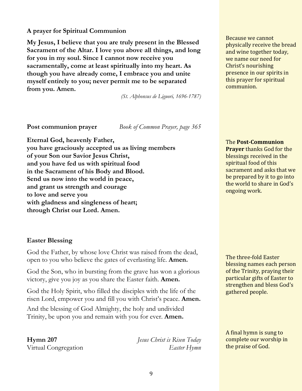# **A prayer for Spiritual Communion**

**My Jesus, I believe that you are truly present in the Blessed Sacrament of the Altar. I love you above all things, and long for you in my soul. Since I cannot now receive you sacramentally, come at least spiritually into my heart. As though you have already come, I embrace you and unite myself entirely to you; never permit me to be separated from you. Amen.**

*(St. Alphonsus de Liguori, 1696-1787)*

**Post communion prayer** *Book of Common Prayer, page 365*

**Eternal God, heavenly Father, you have graciously accepted us as living members of your Son our Savior Jesus Christ, and you have fed us with spiritual food in the Sacrament of his Body and Blood. Send us now into the world in peace, and grant us strength and courage to love and serve you with gladness and singleness of heart; through Christ our Lord. Amen.**

# **Easter Blessing**

God the Father, by whose love Christ was raised from the dead, open to you who believe the gates of everlasting life. **Amen.**

God the Son, who in bursting from the grave has won a glorious victory, give you joy as you share the Easter faith. **Amen.**

God the Holy Spirit, who filled the disciples with the life of the risen Lord, empower you and fill you with Christ's peace. **Amen.**

And the blessing of God Almighty, the holy and undivided Trinity, be upon you and remain with you for ever. **Amen.**

**Hymn 207** *Jesus Christ is Risen Today* Virtual Congregation *Easter Hymn*

Because we cannot physically receive the bread and wine together today, we name our need for Christ's nourishing presence in our spirits in this prayer for spiritual communion.

**The Post-Communion Prayer** thanks God for the blessings received in the spiritual food of this sacrament and asks that we be prepared by it to go into the world to share in God's ongoing work.

The three-fold Easter blessing names each person of the Trinity, praying their particular gifts of Easter to strengthen and bless God's gathered people.

A final hymn is sung to complete our worship in the praise of God.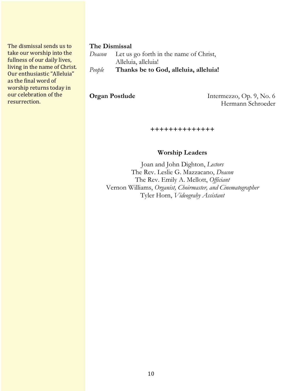The dismissal sends us to take our worship into the fullness of our daily lives, living in the name of Christ. Our enthusiastic "Alleluia" as the final word of worship returns today in our celebration of the resurrection.

### **The Dismissal**

*Deacon* Let us go forth in the name of Christ, Alleluia, alleluia! *People* **Thanks be to God, alleluia, alleluia!**

**Organ Postlude** Intermezzo, Op. 9, No. 6 Hermann Schroeder

**++++++++++++++**

# **Worship Leaders**

Joan and John Dighton, *Lectors* The Rev. Leslie G. Mazzacano, *Deacon* The Rev. Emily A. Mellott, *Officiant* Vernon Williams, *Organist, Choirmaster, and Cinematographer* Tyler Horn, *Videograhy Assistant*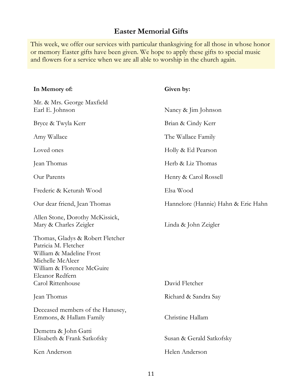# **Easter Memorial Gifts**

This week, we offer our services with particular thanksgiving for all those in whose honor or memory Easter gifts have been given. We hope to apply these gifts to special music and flowers for a service when we are all able to worship in the church again.

| Given by:                           |  |
|-------------------------------------|--|
| Nancy & Jim Johnson                 |  |
| Brian & Cindy Kerr                  |  |
| The Wallace Family                  |  |
| Holly & Ed Pearson                  |  |
| Herb & Liz Thomas                   |  |
| Henry & Carol Rossell               |  |
| Elsa Wood                           |  |
| Hannelore (Hannie) Hahn & Eric Hahn |  |
| Linda & John Zeigler                |  |
| David Fletcher                      |  |
| Richard & Sandra Say                |  |
| Christine Hallam                    |  |
| Susan & Gerald Satkofsky            |  |
| Helen Anderson                      |  |
|                                     |  |